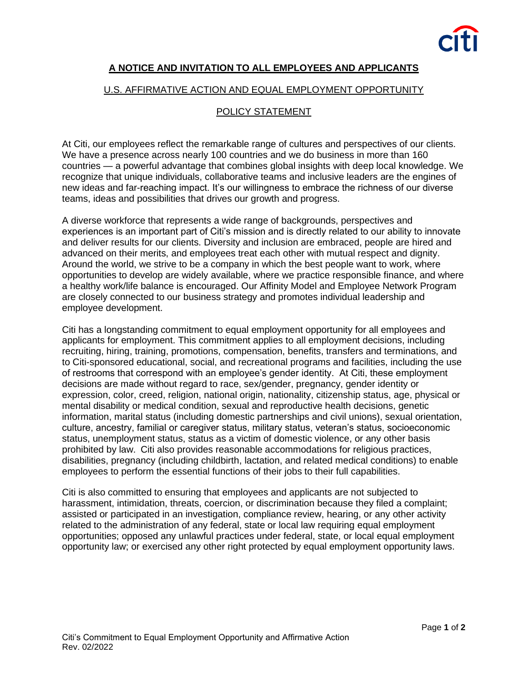

## **A NOTICE AND INVITATION TO ALL EMPLOYEES AND APPLICANTS**

## U.S. AFFIRMATIVE ACTION AND EQUAL EMPLOYMENT OPPORTUNITY

## POLICY STATEMENT

At Citi, our employees reflect the remarkable range of cultures and perspectives of our clients. We have a presence across nearly 100 countries and we do business in more than 160 countries — a powerful advantage that combines global insights with deep local knowledge. We recognize that unique individuals, collaborative teams and inclusive leaders are the engines of new ideas and far-reaching impact. It's our willingness to embrace the richness of our diverse teams, ideas and possibilities that drives our growth and progress.

A diverse workforce that represents a wide range of backgrounds, perspectives and experiences is an important part of Citi's mission and is directly related to our ability to innovate and deliver results for our clients. Diversity and inclusion are embraced, people are hired and advanced on their merits, and employees treat each other with mutual respect and dignity. Around the world, we strive to be a company in which the best people want to work, where opportunities to develop are widely available, where we practice responsible finance, and where a healthy work/life balance is encouraged. Our Affinity Model and Employee Network Program are closely connected to our business strategy and promotes individual leadership and employee development.

Citi has a longstanding commitment to equal employment opportunity for all employees and applicants for employment. This commitment applies to all employment decisions, including recruiting, hiring, training, promotions, compensation, benefits, transfers and terminations, and to Citi-sponsored educational, social, and recreational programs and facilities, including the use of restrooms that correspond with an employee's gender identity. At Citi, these employment decisions are made without regard to race, sex/gender, pregnancy, gender identity or expression, color, creed, religion, national origin, nationality, citizenship status, age, physical or mental disability or medical condition, sexual and reproductive health decisions, genetic information, marital status (including domestic partnerships and civil unions), sexual orientation, culture, ancestry, familial or caregiver status, military status, veteran's status, socioeconomic status, unemployment status, status as a victim of domestic violence, or any other basis prohibited by law. Citi also provides reasonable accommodations for religious practices, disabilities, pregnancy (including childbirth, lactation, and related medical conditions) to enable employees to perform the essential functions of their jobs to their full capabilities.

Citi is also committed to ensuring that employees and applicants are not subjected to harassment, intimidation, threats, coercion, or discrimination because they filed a complaint; assisted or participated in an investigation, compliance review, hearing, or any other activity related to the administration of any federal, state or local law requiring equal employment opportunities; opposed any unlawful practices under federal, state, or local equal employment opportunity law; or exercised any other right protected by equal employment opportunity laws.